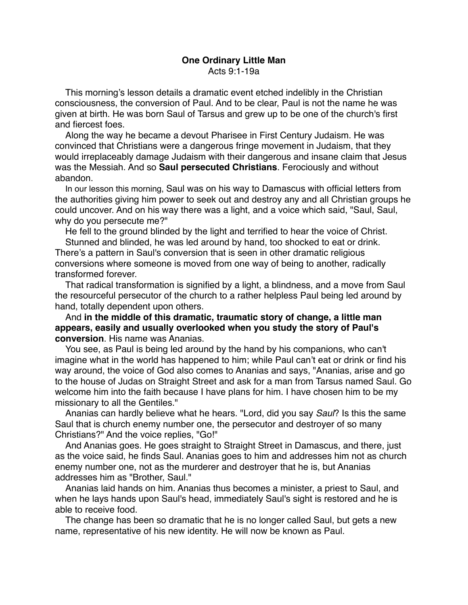## **One Ordinary Little Man** Acts 9:1-19a

This morning's lesson details a dramatic event etched indelibly in the Christian consciousness, the conversion of Paul. And to be clear, Paul is not the name he was given at birth. He was born Saul of Tarsus and grew up to be one of the church's first and fiercest foes.

Along the way he became a devout Pharisee in First Century Judaism. He was convinced that Christians were a dangerous fringe movement in Judaism, that they would irreplaceably damage Judaism with their dangerous and insane claim that Jesus was the Messiah. And so **Saul persecuted Christians**. Ferociously and without abandon.

In our lesson this morning, Saul was on his way to Damascus with official letters from the authorities giving him power to seek out and destroy any and all Christian groups he could uncover. And on his way there was a light, and a voice which said, "Saul, Saul, why do you persecute me?"

He fell to the ground blinded by the light and terrified to hear the voice of Christ.

Stunned and blinded, he was led around by hand, too shocked to eat or drink. There's a pattern in Saul's conversion that is seen in other dramatic religious conversions where someone is moved from one way of being to another, radically transformed forever.

That radical transformation is signified by a light, a blindness, and a move from Saul the resourceful persecutor of the church to a rather helpless Paul being led around by hand, totally dependent upon others.

And **in the middle of this dramatic, traumatic story of change, a little man appears, easily and usually overlooked when you study the story of Paul's conversion**. His name was Ananias.

You see, as Paul is being led around by the hand by his companions, who can't imagine what in the world has happened to him; while Paul can't eat or drink or find his way around, the voice of God also comes to Ananias and says, "Ananias, arise and go to the house of Judas on Straight Street and ask for a man from Tarsus named Saul. Go welcome him into the faith because I have plans for him. I have chosen him to be my missionary to all the Gentiles."

Ananias can hardly believe what he hears. "Lord, did you say *Saul*? Is this the same Saul that is church enemy number one, the persecutor and destroyer of so many Christians?" And the voice replies, "Go!"

And Ananias goes. He goes straight to Straight Street in Damascus, and there, just as the voice said, he finds Saul. Ananias goes to him and addresses him not as church enemy number one, not as the murderer and destroyer that he is, but Ananias addresses him as "Brother, Saul."

Ananias laid hands on him. Ananias thus becomes a minister, a priest to Saul, and when he lays hands upon Saul's head, immediately Saul's sight is restored and he is able to receive food.

The change has been so dramatic that he is no longer called Saul, but gets a new name, representative of his new identity. He will now be known as Paul.